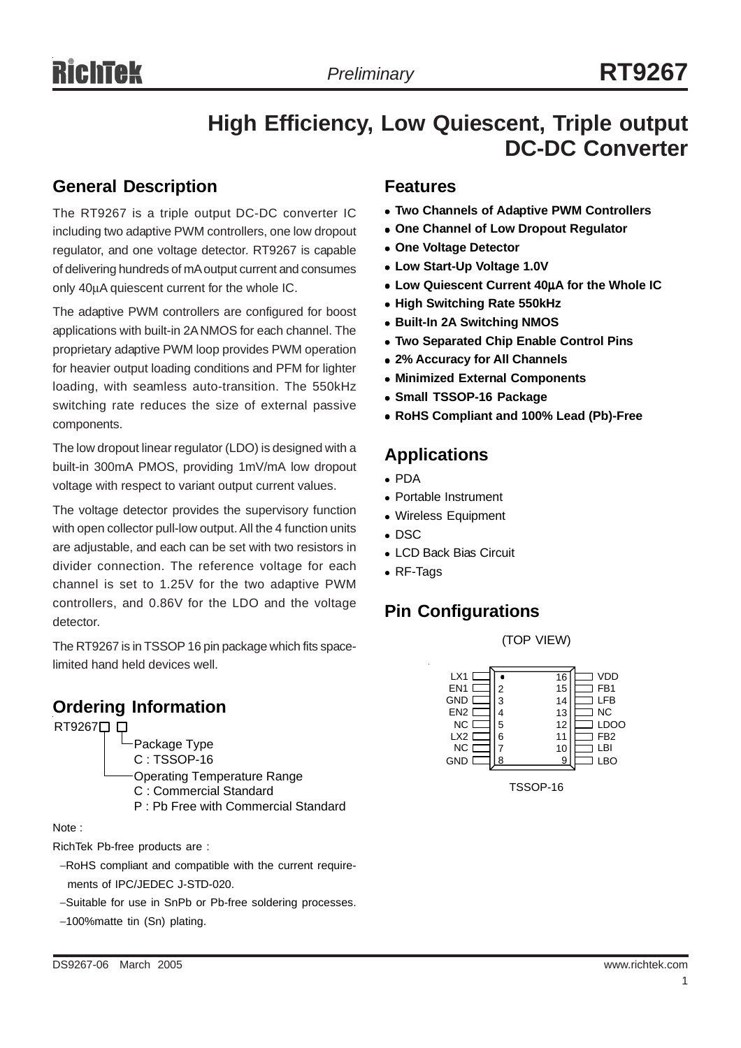# **High Efficiency, Low Quiescent, Triple output DC-DC Converter**

#### **General Description**

The RT9267 is a triple output DC-DC converter IC including two adaptive PWM controllers, one low dropout regulator, and one voltage detector. RT9267 is capable of delivering hundreds of mA output current and consumes only 40µA quiescent current for the whole IC.

The adaptive PWM controllers are configured for boost applications with built-in 2A NMOS for each channel. The proprietary adaptive PWM loop provides PWM operation for heavier output loading conditions and PFM for lighter loading, with seamless auto-transition. The 550kHz switching rate reduces the size of external passive components.

The low dropout linear regulator (LDO) is designed with a built-in 300mA PMOS, providing 1mV/mA low dropout voltage with respect to variant output current values.

The voltage detector provides the supervisory function with open collector pull-low output. All the 4 function units are adjustable, and each can be set with two resistors in divider connection. The reference voltage for each channel is set to 1.25V for the two adaptive PWM controllers, and 0.86V for the LDO and the voltage detector.

The RT9267 is in TSSOP 16 pin package which fits spacelimited hand held devices well.

### **Ordering Information**



#### Note :

RichTek Pb-free products are :

- −RoHS compliant and compatible with the current require ments of IPC/JEDEC J-STD-020.
- −Suitable for use in SnPb or Pb-free soldering processes.
- −100%matte tin (Sn) plating.

#### **Features**

- <sup>z</sup> **Two Channels of Adaptive PWM Controllers**
- **One Channel of Low Dropout Regulator**
- **One Voltage Detector**
- <sup>z</sup> **Low Start-Up Voltage 1.0V**
- <sup>z</sup> **Low Quiescent Current 40**µ**A for the Whole IC**
- **High Switching Rate 550kHz**
- <sup>z</sup> **Built-In 2A Switching NMOS**
- **Two Separated Chip Enable Control Pins**
- <sup>z</sup> **2% Accuracy for All Channels**
- **Minimized External Components**
- **Small TSSOP-16 Package**
- <sup>z</sup> **RoHS Compliant and 100% Lead (Pb)-Free**

#### **Applications**

- <sup>z</sup> PDA
- Portable Instrument
- Wireless Equipment
- $\bullet$  DSC
- LCD Back Bias Circuit
- RF-Tags

### **Pin Configurations**

(TOP VIEW)

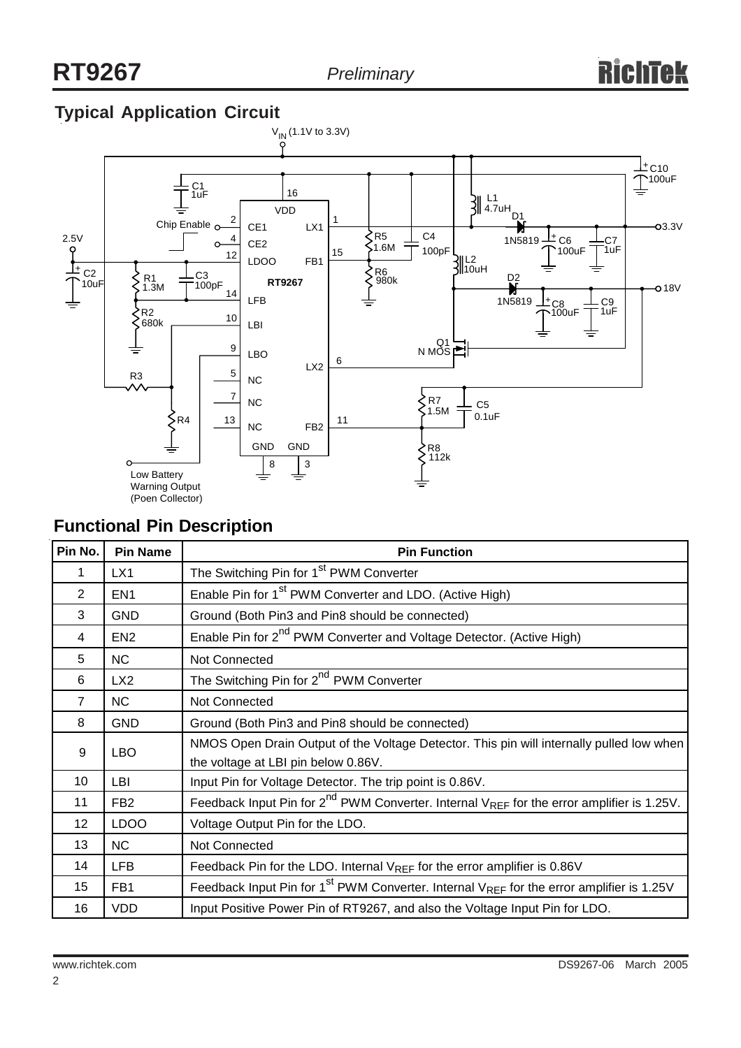# **Typical Application Circuit**



#### **Functional Pin Description**

| Pin No.        | <b>Pin Name</b> | <b>Pin Function</b>                                                                                              |  |  |
|----------------|-----------------|------------------------------------------------------------------------------------------------------------------|--|--|
| 1              | LX1             | The Switching Pin for 1 <sup>st</sup> PWM Converter                                                              |  |  |
| 2              | EN <sub>1</sub> | Enable Pin for 1 <sup>st</sup> PWM Converter and LDO. (Active High)                                              |  |  |
| 3              | <b>GND</b>      | Ground (Both Pin3 and Pin8 should be connected)                                                                  |  |  |
| 4              | EN <sub>2</sub> | Enable Pin for 2 <sup>nd</sup> PWM Converter and Voltage Detector. (Active High)                                 |  |  |
| 5              | <b>NC</b>       | <b>Not Connected</b>                                                                                             |  |  |
| 6              | LX <sub>2</sub> | The Switching Pin for 2 <sup>nd</sup> PWM Converter                                                              |  |  |
| $\overline{7}$ | <b>NC</b>       | Not Connected                                                                                                    |  |  |
| 8              | <b>GND</b>      | Ground (Both Pin3 and Pin8 should be connected)                                                                  |  |  |
| 9              | <b>LBO</b>      | NMOS Open Drain Output of the Voltage Detector. This pin will internally pulled low when                         |  |  |
|                |                 | the voltage at LBI pin below 0.86V.                                                                              |  |  |
| 10             | LBI             | Input Pin for Voltage Detector. The trip point is 0.86V.                                                         |  |  |
| 11             | FB <sub>2</sub> | Feedback Input Pin for $2^{nd}$ PWM Converter. Internal V <sub>REF</sub> for the error amplifier is 1.25V.       |  |  |
| 12             | <b>LDOO</b>     | Voltage Output Pin for the LDO.                                                                                  |  |  |
| 13             | <b>NC</b>       | Not Connected                                                                                                    |  |  |
| 14             | <b>LFB</b>      | Feedback Pin for the LDO. Internal VREF for the error amplifier is 0.86V                                         |  |  |
| 15             | FB1             | Feedback Input Pin for 1 <sup>st</sup> PWM Converter. Internal V <sub>REF</sub> for the error amplifier is 1.25V |  |  |
| 16             | <b>VDD</b>      | Input Positive Power Pin of RT9267, and also the Voltage Input Pin for LDO.                                      |  |  |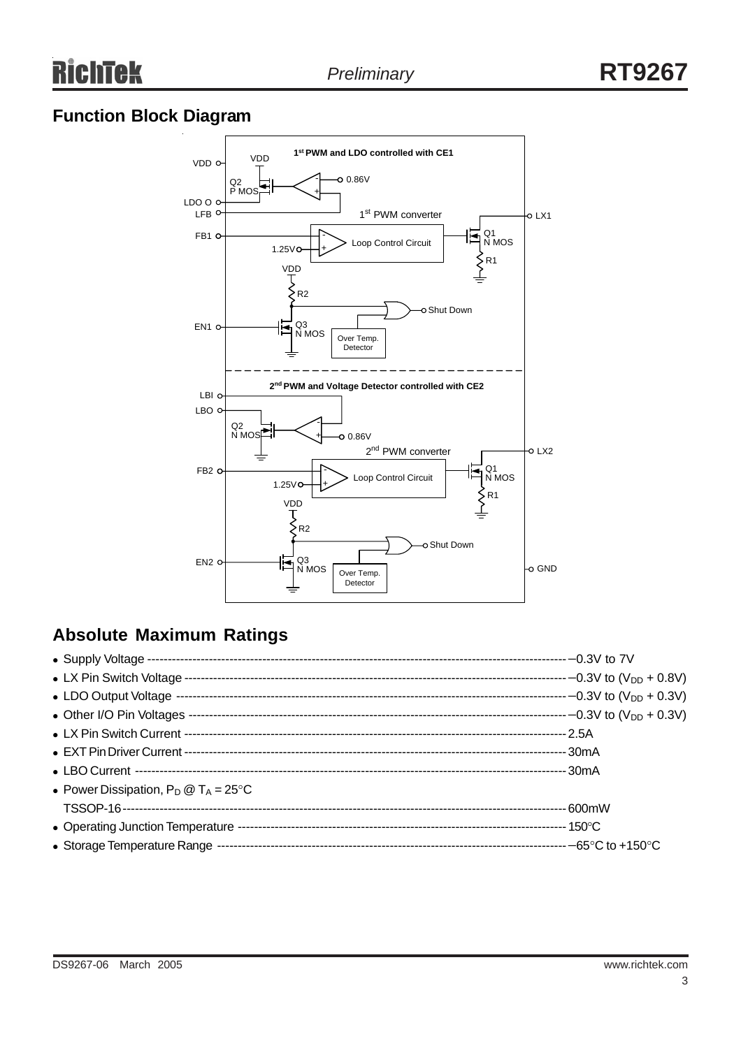# **Function Block Diagram**



# **Absolute Maximum Ratings**

| • Power Dissipation, $P_D @ T_A = 25^{\circ}C$ |  |
|------------------------------------------------|--|
|                                                |  |
|                                                |  |
|                                                |  |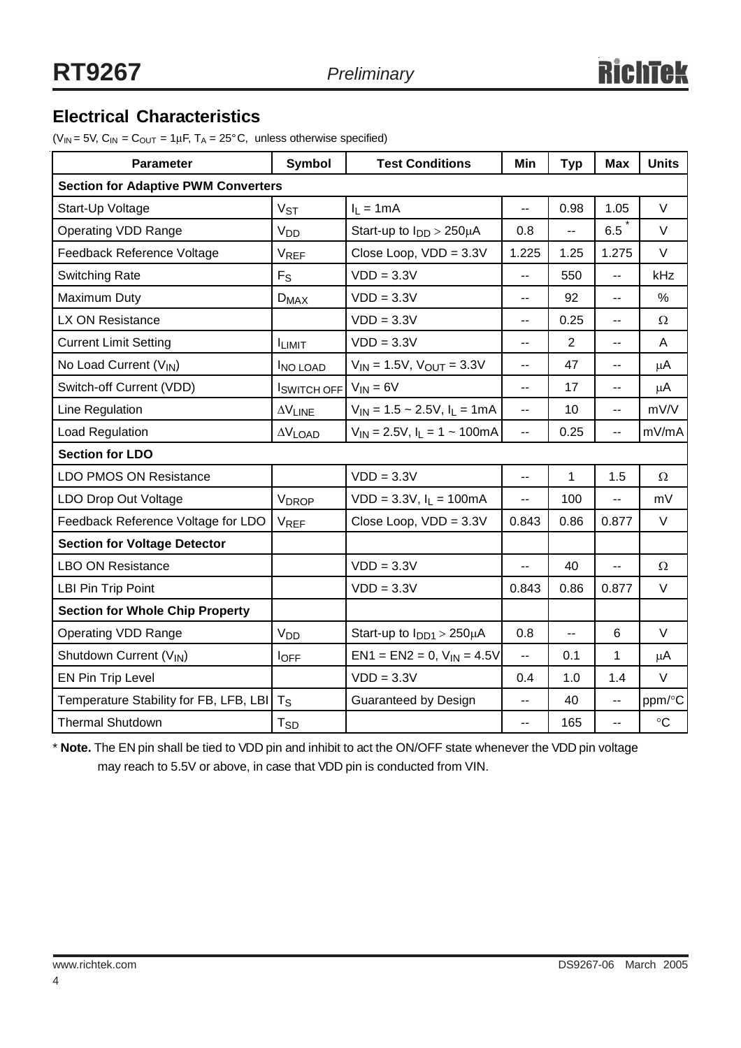### **Electrical Characteristics**

( $V_{IN}$  = 5V,  $C_{IN}$  =  $C_{OUT}$  = 1µF,  $T_A$  = 25°C, unless otherwise specified)

| <b>Parameter</b>                           | <b>Symbol</b>            | <b>Test Conditions</b>                                | Min                      | <b>Typ</b>     | <b>Max</b>               | <b>Units</b>      |  |
|--------------------------------------------|--------------------------|-------------------------------------------------------|--------------------------|----------------|--------------------------|-------------------|--|
| <b>Section for Adaptive PWM Converters</b> |                          |                                                       |                          |                |                          |                   |  |
| Start-Up Voltage                           | $V_{ST}$                 | $I_L = 1mA$                                           | $\overline{\phantom{a}}$ | 0.98           | 1.05                     | V                 |  |
| <b>Operating VDD Range</b>                 | <b>V<sub>DD</sub></b>    | Start-up to $I_{DD}$ > 250 $\mu$ A                    | 0.8                      | --             | 6.5                      | V                 |  |
| Feedback Reference Voltage                 | <b>VREF</b>              | Close Loop, $VDD = 3.3V$                              | 1.225                    | 1.25           | 1.275                    | $\vee$            |  |
| <b>Switching Rate</b>                      | $F_S$                    | $VDD = 3.3V$                                          | $\overline{a}$           | 550            | --                       | kHz               |  |
| Maximum Duty                               | $D_{MAX}$                | $VDD = 3.3V$                                          | $-$                      | 92             | $-$                      | %                 |  |
| LX ON Resistance                           |                          | $VDD = 3.3V$                                          | $\overline{\phantom{a}}$ | 0.25           | --                       | Ω                 |  |
| <b>Current Limit Setting</b>               | <b>ILIMIT</b>            | $VDD = 3.3V$                                          | $-$                      | $\overline{2}$ | --                       | A                 |  |
| No Load Current (VIN)                      | <b>INO LOAD</b>          | $V_{IN}$ = 1.5V, $V_{OUT}$ = 3.3V                     | $-$                      | 47             | --                       | μA                |  |
| Switch-off Current (VDD)                   | $ISWITCH OFF$ $VIN = 6V$ |                                                       | $\overline{\phantom{a}}$ | 17             | --                       | $\mu$ A           |  |
| Line Regulation                            | $\Delta V_{LINE}$        | $V_{1N} = 1.5 \sim 2.5V$ , $I_L = 1mA$                | $\sim$ $\sim$            | 10             | $-$                      | mV/V              |  |
| Load Regulation                            | $\Delta V$ LOAD          | $V_{\text{IN}} = 2.5V$ , $I_L = 1 \sim 100 \text{mA}$ | $\overline{a}$           | 0.25           | --                       | mV/mA             |  |
| <b>Section for LDO</b>                     |                          |                                                       |                          |                |                          |                   |  |
| <b>LDO PMOS ON Resistance</b>              |                          | $VDD = 3.3V$                                          | $\overline{\phantom{a}}$ | 1              | 1.5                      | $\Omega$          |  |
| LDO Drop Out Voltage                       | <b>VDROP</b>             | $VDD = 3.3V, I_L = 100mA$                             | $\overline{\phantom{a}}$ | 100            | $\overline{\phantom{a}}$ | mV                |  |
| Feedback Reference Voltage for LDO         | <b>VREF</b>              | Close Loop, $VDD = 3.3V$                              | 0.843                    | 0.86           | 0.877                    | $\vee$            |  |
| <b>Section for Voltage Detector</b>        |                          |                                                       |                          |                |                          |                   |  |
| <b>LBO ON Resistance</b>                   |                          | $VDD = 3.3V$                                          | $\overline{a}$           | 40             | --                       | Ω                 |  |
| LBI Pin Trip Point                         |                          | $VDD = 3.3V$                                          | 0.843                    | 0.86           | 0.877                    | V                 |  |
| <b>Section for Whole Chip Property</b>     |                          |                                                       |                          |                |                          |                   |  |
| Operating VDD Range                        | <b>V<sub>DD</sub></b>    | Start-up to $I_{DD1}$ > 250 $\mu$ A                   | 0.8                      | --             | 6                        | V                 |  |
| Shutdown Current (V <sub>IN</sub> )        | l <sub>OFF</sub>         | $EN1 = EN2 = 0, VIN = 4.5V$                           | $\overline{\phantom{a}}$ | 0.1            | 1                        | $\mu$ A           |  |
| EN Pin Trip Level                          |                          | $VDD = 3.3V$                                          | 0.4                      | 1.0            | 1.4                      | $\vee$            |  |
| Temperature Stability for FB, LFB, LBI     | $T_{\rm S}$              | Guaranteed by Design                                  | --                       | 40             | --                       | ppm/°C            |  |
| <b>Thermal Shutdown</b>                    | T <sub>SD</sub>          |                                                       | н.                       | 165            | $-$                      | $^\circ \text{C}$ |  |

\* **Note.** The EN pin shall be tied to VDD pin and inhibit to act the ON/OFF state whenever the VDD pin voltage may reach to 5.5V or above, in case that VDD pin is conducted from VIN.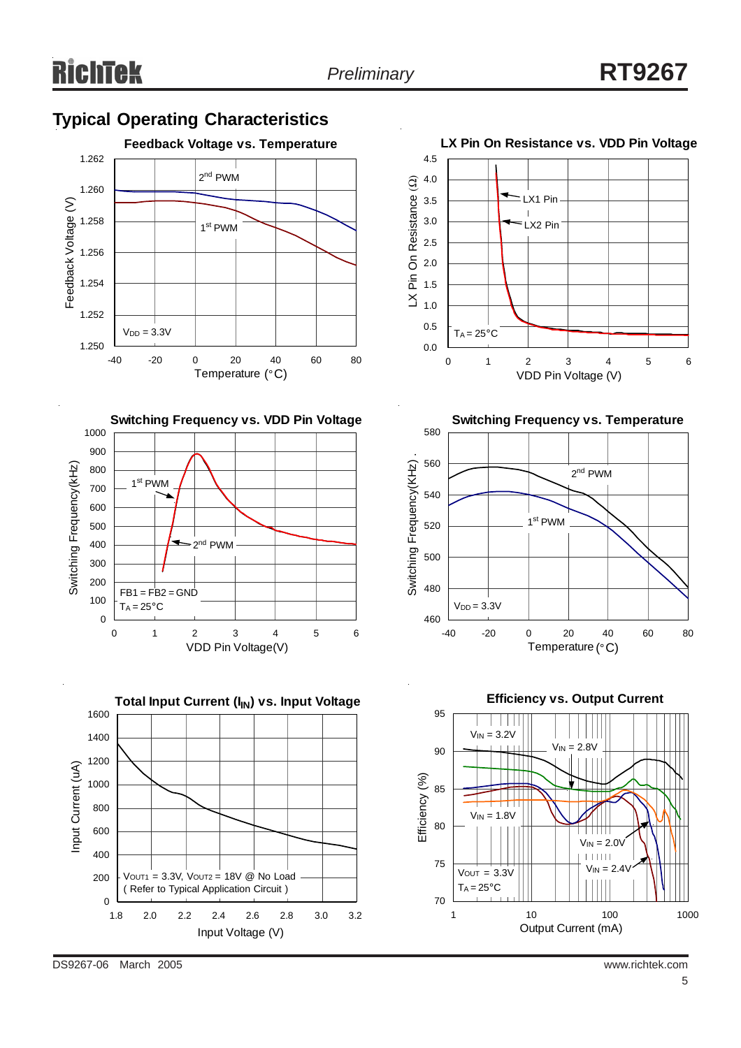#### **Typical Operating Characteristics**





**Total Input Current (I<sub>IN</sub>) vs. Input Voltage** 1600 1400 1200 Input Current (uA) Input Current (uA) 1000 800 600 400  $V<sub>OUT1</sub> = 3.3V, V<sub>OUT2</sub> = 18V @ No Load$ 200 ( Refer to Typical Application Circuit ) 0 1.8 2.0 2.2 2.4 2.6 2.8 3.0 3.2 Input Voltage (V)









DS9267-06 March 2005 www.richtek.com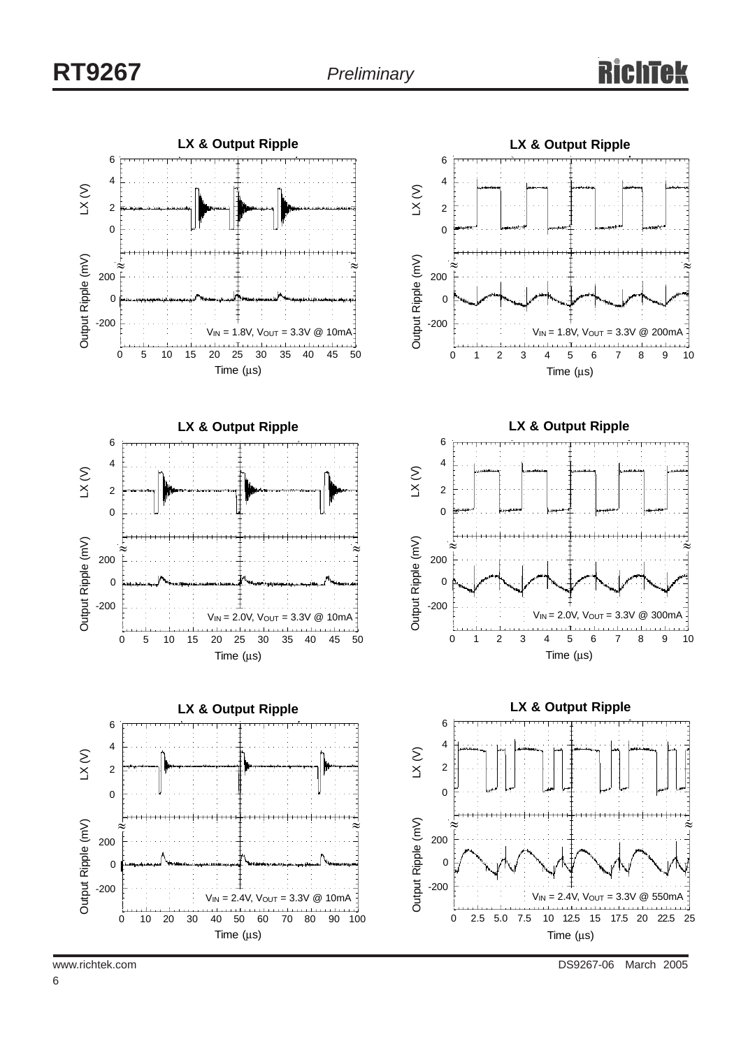

www.richtek.com **DS9267-06** March 2005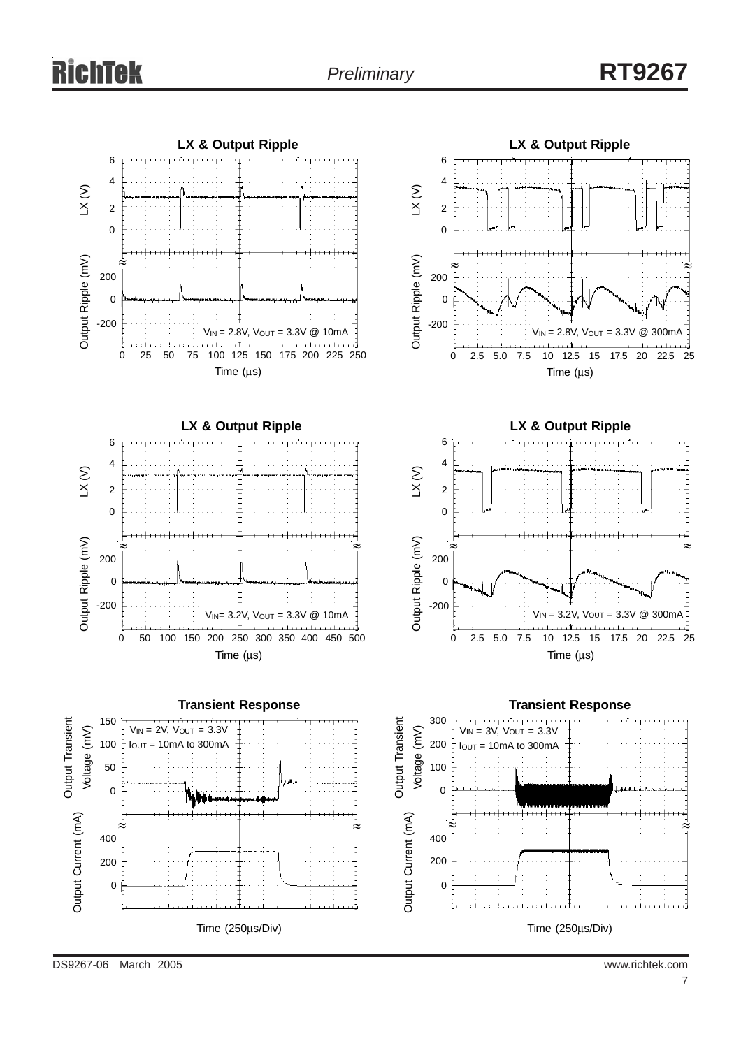

DS9267-06 March 2005 www.richtek.com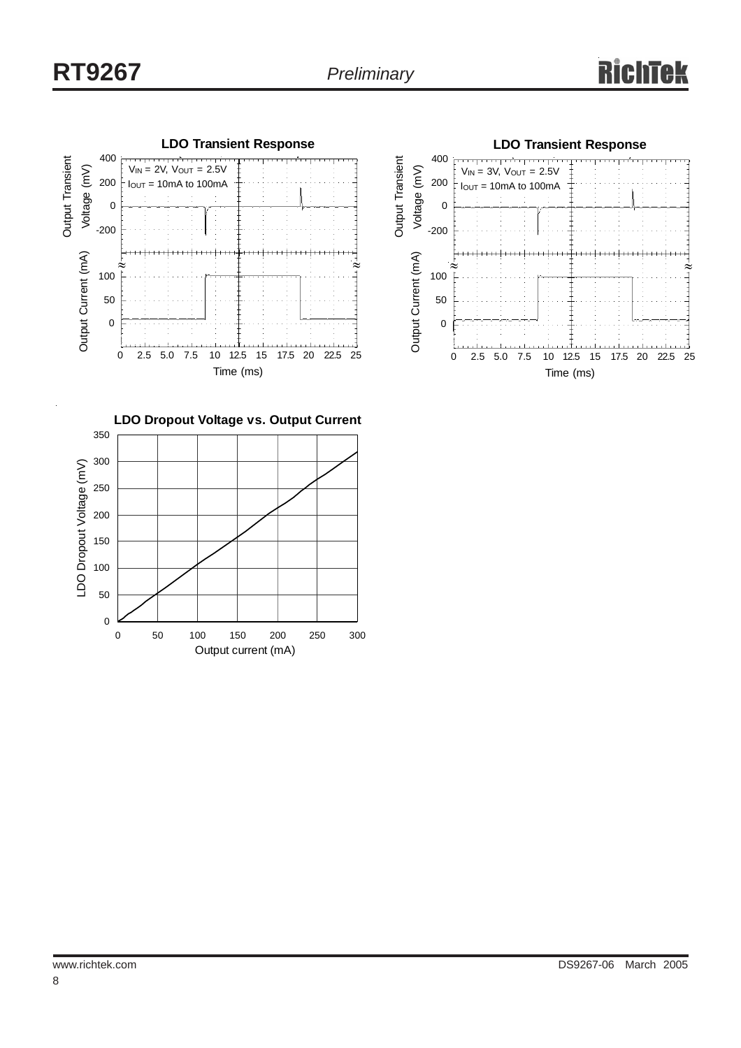